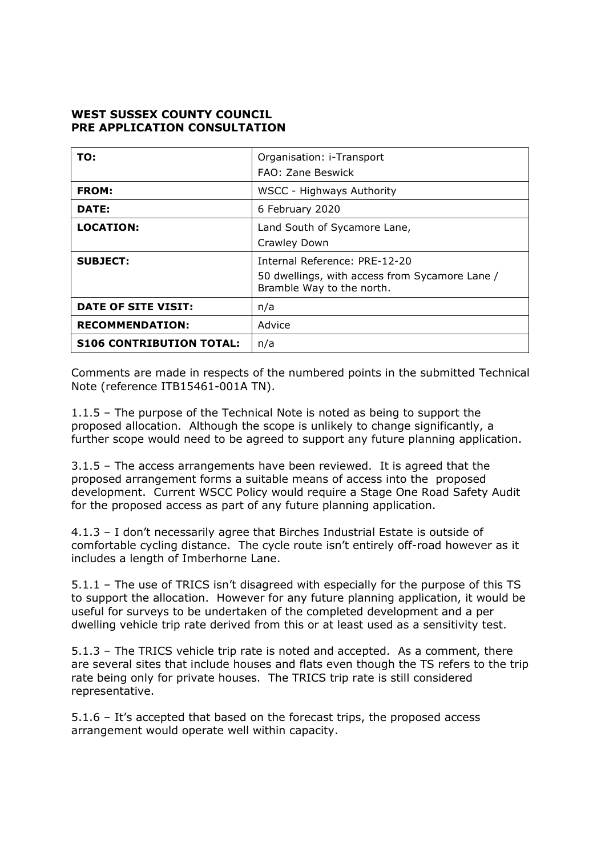## **WEST SUSSEX COUNTY COUNCIL PRE APPLICATION CONSULTATION**

| TO:                             | Organisation: i-Transport<br>FAO: Zane Beswick                                                               |
|---------------------------------|--------------------------------------------------------------------------------------------------------------|
| <b>FROM:</b>                    | <b>WSCC - Highways Authority</b>                                                                             |
| <b>DATE:</b>                    | 6 February 2020                                                                                              |
| <b>LOCATION:</b>                | Land South of Sycamore Lane,<br>Crawley Down                                                                 |
| <b>SUBJECT:</b>                 | Internal Reference: PRE-12-20<br>50 dwellings, with access from Sycamore Lane /<br>Bramble Way to the north. |
| DATE OF SITE VISIT:             | n/a                                                                                                          |
| <b>RECOMMENDATION:</b>          | Advice                                                                                                       |
| <b>S106 CONTRIBUTION TOTAL:</b> | n/a                                                                                                          |

Comments are made in respects of the numbered points in the submitted Technical Note (reference ITB15461-001A TN).

1.1.5 – The purpose of the Technical Note is noted as being to support the proposed allocation. Although the scope is unlikely to change significantly, a further scope would need to be agreed to support any future planning application.

3.1.5 – The access arrangements have been reviewed. It is agreed that the proposed arrangement forms a suitable means of access into the proposed development. Current WSCC Policy would require a Stage One Road Safety Audit for the proposed access as part of any future planning application.

4.1.3 – I don't necessarily agree that Birches Industrial Estate is outside of comfortable cycling distance. The cycle route isn't entirely off-road however as it includes a length of Imberhorne Lane.

5.1.1 – The use of TRICS isn't disagreed with especially for the purpose of this TS to support the allocation. However for any future planning application, it would be useful for surveys to be undertaken of the completed development and a per dwelling vehicle trip rate derived from this or at least used as a sensitivity test.

5.1.3 – The TRICS vehicle trip rate is noted and accepted. As a comment, there are several sites that include houses and flats even though the TS refers to the trip rate being only for private houses. The TRICS trip rate is still considered representative.

5.1.6 – It's accepted that based on the forecast trips, the proposed access arrangement would operate well within capacity.